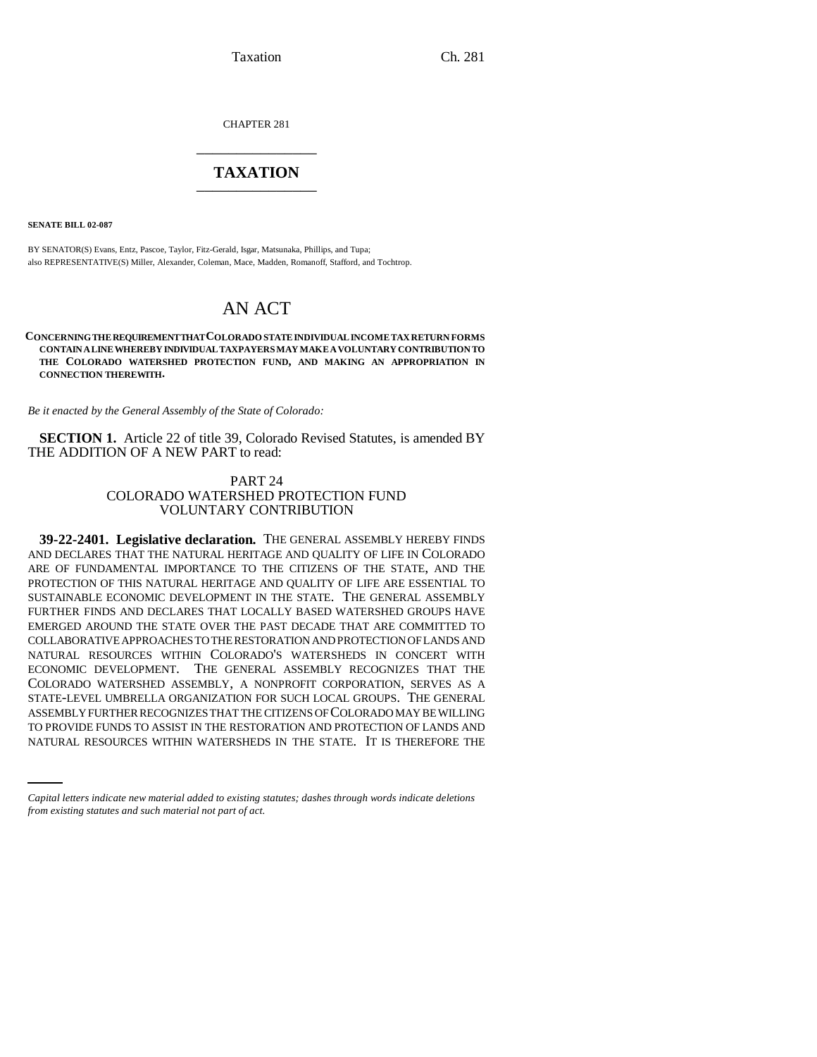Taxation Ch. 281

CHAPTER 281 \_\_\_\_\_\_\_\_\_\_\_\_\_\_\_

## **TAXATION** \_\_\_\_\_\_\_\_\_\_\_\_\_\_\_

**SENATE BILL 02-087**

BY SENATOR(S) Evans, Entz, Pascoe, Taylor, Fitz-Gerald, Isgar, Matsunaka, Phillips, and Tupa; also REPRESENTATIVE(S) Miller, Alexander, Coleman, Mace, Madden, Romanoff, Stafford, and Tochtrop.

## AN ACT

**CONCERNING THE REQUIREMENT THAT COLORADO STATE INDIVIDUAL INCOME TAX RETURN FORMS CONTAIN A LINE WHEREBY INDIVIDUAL TAXPAYERS MAY MAKE A VOLUNTARY CONTRIBUTION TO THE COLORADO WATERSHED PROTECTION FUND, AND MAKING AN APPROPRIATION IN CONNECTION THEREWITH.**

*Be it enacted by the General Assembly of the State of Colorado:*

**SECTION 1.** Article 22 of title 39, Colorado Revised Statutes, is amended BY THE ADDITION OF A NEW PART to read:

## PART 24 COLORADO WATERSHED PROTECTION FUND VOLUNTARY CONTRIBUTION

ASSEMBLY FURTHER RECOGNIZES THAT THE CITIZENS OF COLORADO MAY BE WILLING **39-22-2401. Legislative declaration.** THE GENERAL ASSEMBLY HEREBY FINDS AND DECLARES THAT THE NATURAL HERITAGE AND QUALITY OF LIFE IN COLORADO ARE OF FUNDAMENTAL IMPORTANCE TO THE CITIZENS OF THE STATE, AND THE PROTECTION OF THIS NATURAL HERITAGE AND QUALITY OF LIFE ARE ESSENTIAL TO SUSTAINABLE ECONOMIC DEVELOPMENT IN THE STATE. THE GENERAL ASSEMBLY FURTHER FINDS AND DECLARES THAT LOCALLY BASED WATERSHED GROUPS HAVE EMERGED AROUND THE STATE OVER THE PAST DECADE THAT ARE COMMITTED TO COLLABORATIVE APPROACHES TO THE RESTORATION AND PROTECTION OF LANDS AND NATURAL RESOURCES WITHIN COLORADO'S WATERSHEDS IN CONCERT WITH ECONOMIC DEVELOPMENT. THE GENERAL ASSEMBLY RECOGNIZES THAT THE COLORADO WATERSHED ASSEMBLY, A NONPROFIT CORPORATION, SERVES AS A STATE-LEVEL UMBRELLA ORGANIZATION FOR SUCH LOCAL GROUPS. THE GENERAL TO PROVIDE FUNDS TO ASSIST IN THE RESTORATION AND PROTECTION OF LANDS AND NATURAL RESOURCES WITHIN WATERSHEDS IN THE STATE. IT IS THEREFORE THE

*Capital letters indicate new material added to existing statutes; dashes through words indicate deletions from existing statutes and such material not part of act.*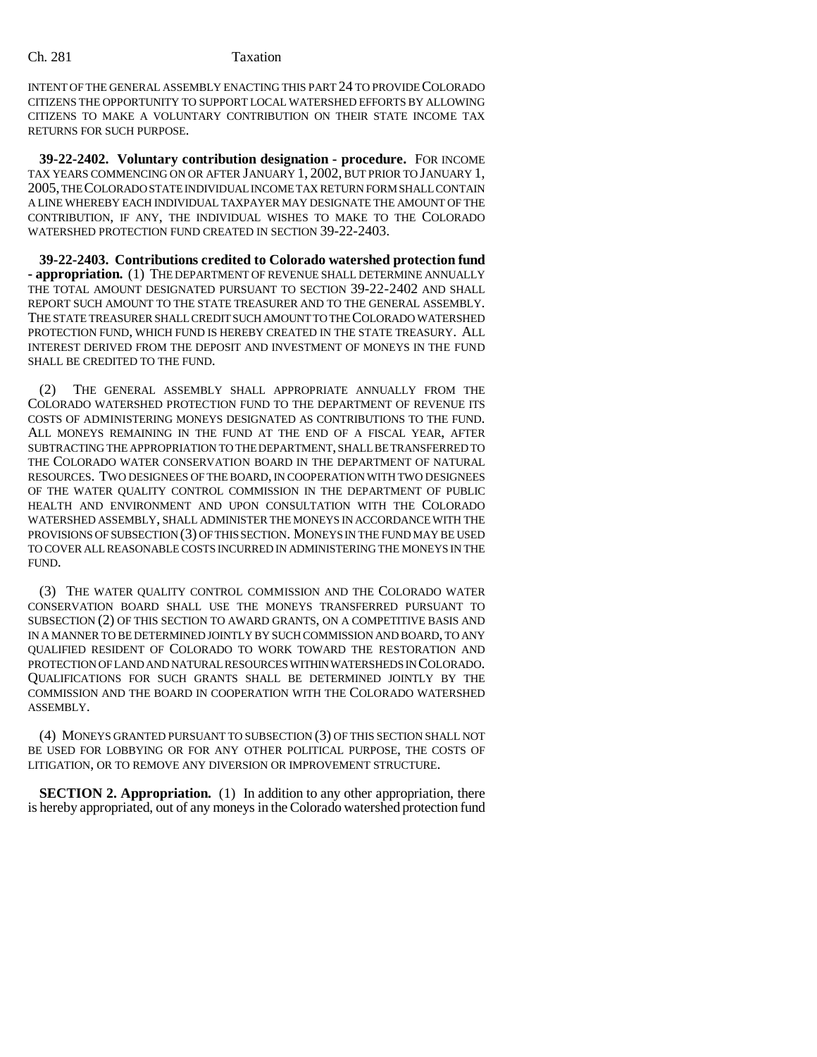INTENT OF THE GENERAL ASSEMBLY ENACTING THIS PART 24 TO PROVIDE COLORADO CITIZENS THE OPPORTUNITY TO SUPPORT LOCAL WATERSHED EFFORTS BY ALLOWING CITIZENS TO MAKE A VOLUNTARY CONTRIBUTION ON THEIR STATE INCOME TAX RETURNS FOR SUCH PURPOSE.

**39-22-2402. Voluntary contribution designation - procedure.** FOR INCOME TAX YEARS COMMENCING ON OR AFTER JANUARY 1, 2002, BUT PRIOR TO JANUARY 1, 2005, THE COLORADO STATE INDIVIDUAL INCOME TAX RETURN FORM SHALL CONTAIN A LINE WHEREBY EACH INDIVIDUAL TAXPAYER MAY DESIGNATE THE AMOUNT OF THE CONTRIBUTION, IF ANY, THE INDIVIDUAL WISHES TO MAKE TO THE COLORADO WATERSHED PROTECTION FUND CREATED IN SECTION 39-22-2403.

**39-22-2403. Contributions credited to Colorado watershed protection fund - appropriation.** (1) THE DEPARTMENT OF REVENUE SHALL DETERMINE ANNUALLY THE TOTAL AMOUNT DESIGNATED PURSUANT TO SECTION 39-22-2402 AND SHALL REPORT SUCH AMOUNT TO THE STATE TREASURER AND TO THE GENERAL ASSEMBLY. THE STATE TREASURER SHALL CREDIT SUCH AMOUNT TO THE COLORADO WATERSHED PROTECTION FUND, WHICH FUND IS HEREBY CREATED IN THE STATE TREASURY. ALL INTEREST DERIVED FROM THE DEPOSIT AND INVESTMENT OF MONEYS IN THE FUND SHALL BE CREDITED TO THE FUND.

(2) THE GENERAL ASSEMBLY SHALL APPROPRIATE ANNUALLY FROM THE COLORADO WATERSHED PROTECTION FUND TO THE DEPARTMENT OF REVENUE ITS COSTS OF ADMINISTERING MONEYS DESIGNATED AS CONTRIBUTIONS TO THE FUND. ALL MONEYS REMAINING IN THE FUND AT THE END OF A FISCAL YEAR, AFTER SUBTRACTING THE APPROPRIATION TO THE DEPARTMENT, SHALL BE TRANSFERRED TO THE COLORADO WATER CONSERVATION BOARD IN THE DEPARTMENT OF NATURAL RESOURCES. TWO DESIGNEES OF THE BOARD, IN COOPERATION WITH TWO DESIGNEES OF THE WATER QUALITY CONTROL COMMISSION IN THE DEPARTMENT OF PUBLIC HEALTH AND ENVIRONMENT AND UPON CONSULTATION WITH THE COLORADO WATERSHED ASSEMBLY, SHALL ADMINISTER THE MONEYS IN ACCORDANCE WITH THE PROVISIONS OF SUBSECTION (3) OF THIS SECTION. MONEYS IN THE FUND MAY BE USED TO COVER ALL REASONABLE COSTS INCURRED IN ADMINISTERING THE MONEYS IN THE FUND.

(3) THE WATER QUALITY CONTROL COMMISSION AND THE COLORADO WATER CONSERVATION BOARD SHALL USE THE MONEYS TRANSFERRED PURSUANT TO SUBSECTION (2) OF THIS SECTION TO AWARD GRANTS, ON A COMPETITIVE BASIS AND IN A MANNER TO BE DETERMINED JOINTLY BY SUCH COMMISSION AND BOARD, TO ANY QUALIFIED RESIDENT OF COLORADO TO WORK TOWARD THE RESTORATION AND PROTECTION OF LAND AND NATURAL RESOURCES WITHIN WATERSHEDS IN COLORADO. QUALIFICATIONS FOR SUCH GRANTS SHALL BE DETERMINED JOINTLY BY THE COMMISSION AND THE BOARD IN COOPERATION WITH THE COLORADO WATERSHED ASSEMBLY.

(4) MONEYS GRANTED PURSUANT TO SUBSECTION (3) OF THIS SECTION SHALL NOT BE USED FOR LOBBYING OR FOR ANY OTHER POLITICAL PURPOSE, THE COSTS OF LITIGATION, OR TO REMOVE ANY DIVERSION OR IMPROVEMENT STRUCTURE.

**SECTION 2. Appropriation.** (1) In addition to any other appropriation, there is hereby appropriated, out of any moneys in the Colorado watershed protection fund